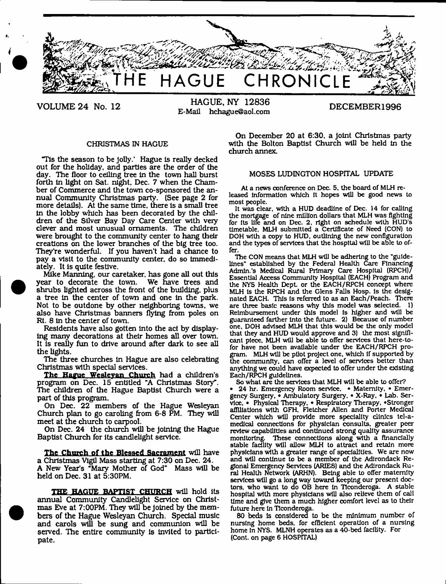

**VOLUME 24 No. 12 HAGUE, NY 12836** E-Mall [hchague@aol.com](mailto:hchague@aol.com) **DECEMBER1996**

#### CHRISTMAS IN HAGUE

"Tis the season to be Jolly.' Hague Is really decked out for the holiday, and parties are the order of the day. The floor to celling tree In the town hall burst forth in light on Sat. night, Dec. 7 when the Chamber of Commerce and the town co-sponsored the annual Community Christmas party. (See page 2 for more details). At the same time, there is a small tree In the lobby which has been decorated by the children of the Silver Bay Day Care Center with very clever and most unusual ornaments. The children were brought to the community center to hang their creations on the lower branches of the big tree too. They're wonderful. If you haven't had a chance to pay a visit to the community center, do so immediately. It is quite festive.

Mike Manning, our caretaker, has gone all out this year to decorate the town. shrubs lighted across the front of the building, plus a tree In the center of town and one in the park. Not to be outdone by other neighboring towns, we also have Christmas banners flying from poles on Rt. 8 in the center of town.

Residents have also gotten into the act by displaying many decorations at their homes all over town. It Is really fun to drive around after dark to see all the lights.

The three churches In Hague are also celebrating Christmas with special services.

The Hague Weslevan Church had a children's program on Dec. 15 entitled "A Christmas Story". The children of the Hague Baptist Church were a part of this program.

On Dec. 22 members of the Hague Wesleyan Church plan to go caroling from 6-8 PM. They will meet at the church to carpool.

On Dec. 24 the church will be joining the Hague Baptist Church for its candlelight service.

**The Church of the Blessed Sacrament** will have a Christmas Vigil Mass starting at 7:30 on Dec. 24. A New Year's "Mary Mother of God" Mass will be held on Dec. 31 at 5:30PM.

THE HAGUE BAPTIST CHURCH will hold its annual Community Candlelight Service on Christmas Eve at 7:00PM. They will be joined by the members of the Hague Wesleyan Church. Special music and carols will be sung and communion will be served. The entire community Is Invited to participate.

On December 20 at 6:30, a joint Christmas party with the Bolton Baptist Church will be held in the church annex.

#### MOSES LUDINGTON HOSPITAL UPDATE

At a news conference on Dec. 5, the board of MLH released Information which it hopes will be good news to most people.

It was clear, with a HUD deadline of Dec. 14 for calling the mortgage of nine million dollars that MLH was fighting for Its life and on Dec. 2, right on schedule with HUD's timetable, MLH submitted a Certificate of Need (CON) to DOH with a copy to HUD, outlining the new configuration and the types of services that the hospital will be able to offer.

The CON means that MLH will be adhering to the "guidelines" established by the Federal Health Care Financing Admin.'s Medical Rural Primary Care Hospital (RPCH)/ Essential Access Community Hospital (EACH) Program and the NYS Health Dept or the EACH/RPCH concept where MLH Is the RPCH and the Glens Falls Hosp. Is the designated EACH. This Is referred to as an Each/Peach. There are three basic reasons why this model was selected. 1) Reimbursement under this model Is higher and will be guaranteed farther Into the future. 2) Because of number one, DOH advised MLH that this would be the only model that they and HUD would approve and 3) the most significant piece, MLH will be able to offer services that here-tofor have not been available under the EACH/RPCH program. MLH will be pilot project one. which If supported by the community, can offer a level of services better than anything we could have expected to offer under the existing Each/RPCH guidelines.

So what are the services that MLH will be able to offer?

• 24 hr. Emergency Room service, \* Maternity, • Emergency Surgery, • Ambulatory Surgery. • X-Ray, • Lab. Service. • Physical Therapy. • Respiratory Therapy, 'Stronger affiliations with GFH, Fletcher Allen and Porter Medical Center which will provide more speciality clinics tel-amedlcal connections for physician consults, greater peer review capabilities and continued strong quality assurance monitoring. These connections along with a financially stable facility will allow MLH to attract and retain more physicians with a greater range of specialities. We are now and will continue to be a member of the Adirondack Regional Emergency Services (ARIES) and the Adirondack Rural Health Network (ARHN). Being able to offer maternity services will go a long way toward keeping our present doctors, who want to do OB here In TIconderoga. A stable hospital with more physicians will also relieve them of call time and give them a much higher comfort level as to their future here In TIconderoga.

80 beds Is considered to be the minimum number of nursing home beds, for efficient operation of a nursing home In NYS. MLNH operates as a 40-bed facility. For (Cont. on page 6 HOSPITAL)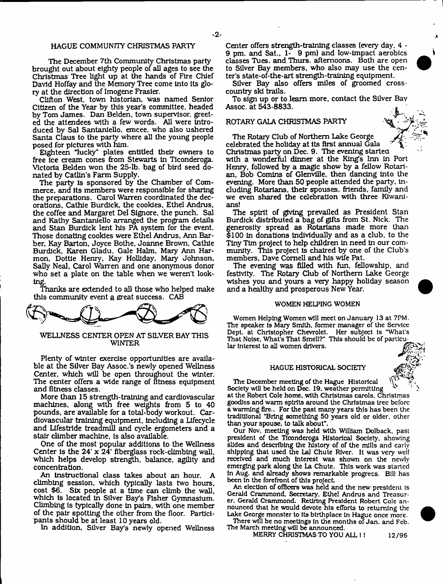#### HAGUE COMMUNITY CHRISTMAS PARTY

The December 7th Community Christmas party brought out about eighty people of all ages to see the Christmas Tree light up at the hands of Fire Chief David Hoffay and the Memory Tree come into Its glory at the direction of Imogene Frasier.

Clifton West, town historian, was named Senior Citizen of the Year by this year's committee, headed by Tom James. Dan Belden, town supervisor, greeted the attendees with a few words. All were introduced by Sal Santaniello, emcee, who also ushered Santa Claus to the party where all the young people posed for pictures with him.

Eighteen "lucky" plates entitled their owners to free ice cream cones from Stewarts in TIconderoga. Victoria Belden won the 25-lb, bag of bird seed donated by Catlin's Farm Supply.

The party is sponsored by the Chamber of Commerce. and its members were responsible for sharing the preparations. Carol Warren coordinated the decorations, Cathie Burdick, the cookies, Ethel Andrus, the coffee and Margaret Del Signore, the punch. Sal and Kathy Santaniello arranged the program details and Stan Burdick lent his PA system for the event. Those donating cookies were Ethel Andrus. Ann Barber, Kay Barton, Joyce Bothe, Joanne Brown, Cathie Burdick, Karen Gladu, Gale Halm. Mary Ann Harmon, Dottle Henry, Kay Holliday, Mary Johnson, Sally Neal. Carol Warren and one anonymous donor who set a plate on the table when we weren't looking.

Thanks are extended to all those who helped make this community event a great success. CAB



WELLNESS CENTER OPEN AT SILVER BAY THIS WINTER

Plenty of winter exercise opportunities are available at the Silver Bay Assoc.'s newly opened Wellness Center, which will be open throughout the winter. The center offers a wide range of fitness equipment and fitness classes.

More than 15 strength-training and cardiovascular machines, along with free weights from 5 to 40 pounds, are available for a total-body workout. Cardiovascular training equipment, including a Lifecycle and Lifestride treadmill and cycle ergometers and a stair climber machine, Is also available.

One of the most popular additions to the Wellness Center is the 24' x 24\* fiberglass rock-climbing wall, which helps develop strength, balance, agility and concentration.

An instructional class takes about an hour. A climbing session, which typically lasts two hours, cost \$6. Six people at a time can climb the wall, which is located In Silver Bay's Fisher Gymnasium. Climbing Is typically done in pairs, with one member of the pair spotting the other from the floor. Participants should be at least 10 years old.

In addition, Silver Bay's newly opened Wellness

Center offers strength-training classes (every day. 4 - 9 pm. and Sat., 1- 9 pm) and low-impact aerobics classes Tues. and Thurs. afternoons. Both are open to Silver Bay members, who also may use the center's state-of-the-art strength-training equipment.

Silver Bay also offers miles of groomed crosscountry ski trails.

To sign up or to leam more, contact the Silver Bay Assoc, at 543-8833.

### ROTARY GALA CHRISTMAS PARTY



The Rotary Club of Northern Lake George celebrated the holiday at its first annual Gala Christmas party on Dec. 9. The evening started with a wonderful dinner at the King's Inn In Port Henry, followed by a magic show by a fellow Rotarian, Bob Comins of Glenville, then dancing into the evening. More than 50 people attended the party, including Rotarians. their spouses, friends, family and we even shared the celebration with three Kiwanians!

The spirit of giving prevailed as President Stan Burdick distributed a bag of gifts from St. Nick. The generosity spread as Rotarians made more than \$100 in donations individually and as a club, to the Tiny Tim project to help children in need in our community. This project is chaired by one of the Club's members, Dave Cornell and his wife Pat.

The evening was filled with fun, fellowship, and festivity. The Rotary Club of Northern Lake George wishes you and yours a very happy holiday season and a healthy and prosperous New Year.

#### WOMEN HELPING WOMEN

Women Helping Women will meet on January 13 at 7PM. The speaker is Mary Smith, former manager of the Service Dept, at Christopher Chevrolet. Her subject Is "What's That Noise, What's That Smell?" This should be of particular Interest to all women drivers.

#### HAGUE HISTORICAL SOCIETY

The December meeting of the Hague Historical ^ Society will be held on Dec. 19. weather permitting ^ at the Robert Cole home, with Christmas carols. Christmas goodies and warm spirits around the Christmas tree before a warming fire.. For the past many years this has been the tradlUlonal "Bring something 50 years old or older, other than your spouse, to talk about".

Our Nov. meeting was held with William Dolback, past president of the Ticonderoga Historical Society, showing slides and describing the history of of the mills and early shipping that used the Lai Chute River. It was very wei! received and much Interest was shewn on the newly emerging park along the La Chute. This work was started In Aug. and already shows remarkable progress. Bill has been In the forefront of this project

An election of officers was held and the new president is Gerald Crammond, Secretary, Ethel Andrus and Treasurer. Gerald Crammond. Retiring President Robert Cole announced that he would devote his efforts to returning the Lake George monster to Its birthplace In Hague once more.

There will be no meetings In the months of Jan. and Feb. The March meeting will be announced.

MERRY CHRISTMAS TO YOU ALL 1! 12/96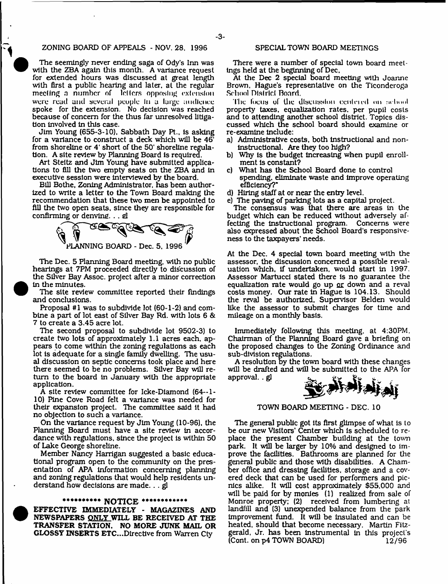#### ZONING BOARD OF APPEALS - NOV. 28. 1996

The seemingly never ending saga of Ody's Inn was with the ZBA again this month. A variance request for extended hours was discussed at great length with first a public hearing and later, at the regular meeting a number of letters opposing extension **were read and several people In a large audience** spoke for the extension. No decision was reached because of concern for the thus far unresolved litigation involved in this case.

Jim Young (655-3-10). Sabbath Day Pt.. is asking for a variance to construct a deck which will be 46\* from shoreline or 4' short of the 50' shoreline regulation. A site review by Planning Board is required.

Art Steltz and Jim Young have submitted applications to fill the two empty seats on the ZBA and In executive session were interviewed by the board.

Bill Bothe, Zoning Administrator, has been authorized to write a letter to the Town Board making the recommendation that these two men be appointed to fill the two open seats, since they are responsible for confirming or denying. . . el



The Dec. 5 Planning Board meeting, with no public hearings at 7PM proceeded directly to discussion of the Silver Bay Assoc, project after a minor correction in the minutes.

The site review committee reported their findings and conclusions.

Proposal #1 was to subdivide lot (60-1-2) and combine a part of lot east of Silver Bay Rd. with lots 6 & 7 to create a 3.45 acre lot.

The second proposal to subdivide lot 9502-3) to create two lots of approximately 1.1 acres each, appears to come within the zoning regulations as each lot is adequate for a single family dwelling. The usual discussion on septic concerns took place and here there seemed to be no problems. Silver Bay wiU return to the board in January with the appropriate application.

A site review committee for Icke-Diamond (64--1- 10) Pine Cove Road felt a variance was needed for their expansion project. The committee said it had no objection to such a variance.

On the variance request by Jim Young (10-96), the Planning Board must have a site review in accordance with regulations, since the project is within 50 of Lake George shoreline.

Member Nancy Harrigan suggested a basic educational program open to the community on the presentation of APA information concerning planning and zoning regulations that would help residents understand how decisions are made. . . gl

#### **\*\*\*\*\*\*\*\*\*\* NOTICE \*\*\*\*\*\*\*\*\*\*\*\***

EFFECTIVE IMMEDIATELY - MAGAZINES AND NEWSPAPERS ONLY WILL BE RECEIVED AT THE TRANSFER STATION. NO MORE JUNK MAIL OR GLOSSY INSERTS ETC...Directive from Warren Cty

#### SPECIAL TOWN BOARD MEETINGS

There were a number of special town board meetings held at the beginning of Dec,

At the Dec 2 special board meeting with Joanne Brown. Hague's representative on the Ticonderoga School District Board.

The focus of the discussion centered on achool property taxes, equalization rates, per pupil costs and to attending another school district. Topics discussed which the school board should examine or re-examine include:

- a) Administrative costs, both instructional and nonins tructional. Are they too high?
- b) Why is the budget increasing when pupil enrollment is constant?
- c) What has the School Board done to control spending, eliminate waste and improve operating efficiency?"
- d) Hiring staff at or near the entry level.
- e) The paving of parking lots as a capital project.

The consensus was that there are areas In the budget which can be reduced without adversely affecting the instructional program. Concerns were also expressed about the School Board's responsiveness to the taxpayers' needs.

At the Dec. 4 special town board meeting with the assessor, the discussion concerned a possible revaluation which, If undertaken, would start in 1997. Assessor Martucci stated there is no guarantee the equalization rate would go up or down and a reval costs money. Our rate in Hague is 104.13. Should the reval be authorized, Supervisor Belden would like the assessor to submit charges for time and mileage on a monthly basis.

Immediately following this meeting, at 4:30PM. Chairman of the Planning Board gave a briefing on the proposed changes to the Zoning Ordinance and sub-division regulations.

A resolution by the town board with these changes will be drafted and will be submitted to the APA for approval. . gl



TOWN BOARD MEETING - DEC. 10

The general public got Its first glimpse of what is to be our new Visitors' Center which is scheduled to replace the present Chamber building at the town park. It will be larger by 10% and designed to improve the facilities. Bathrooms are planned for the general public and those with disabilities. A Chamber office and dressing facilities, storage and a covered deck that can be used for performers and picnics alike. It will cost approximately \$55,000 and will be paid for by monies (1) realized from sale of Monroe property: (2) received from lumbering at landfill and (3) unexpended balance from the park Improvement ftind. It will be insulated and can be heated, should that become necessary. Martin Fitzgerald, Jr. has been instrum ental in this project's  $[Cont. on p4 TOWN BOARD]$   $12/96$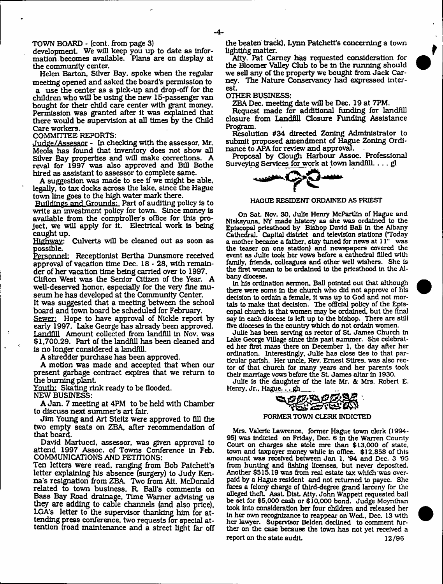TOWN BOARD - (cont. from page 3)

development. We will keep you up to date as Information becomes available. Plans are on display at the community center.

Helen Barton, Silver Bay. spoke when the regular meeting opened and asked the board's permission to

a use the center as a pick-up and drop-off for the children who will be using the new 15-passenger van bought for their child care center with grant money. Permission was granted alter It was explained that there would be supervision at all times by the Child Care workers.

#### COMMITTEE REPORTS:

Judge/Assessor - In checking with the assessor, Mr. Meola has found that Inventory does not show all Silver Bay properties and will make corrections. A reval for 1997 was also approved and Bill Bothe hired as assistant to assessor to complete same.

A suggestion was made to see If we might be able, legally, to tax docks across the lake, since the Hague town line goes to the high water mark there.

Buildings and Grounds: Part of auditing policy Is to write an investment policy for town. Since money is available from the comptroller's office for this project, we will apply for It. Electrical work Is being caught up.

Highway: Culverts will be cleaned out as soon as possible.

Personnel: Receptionist Bertha Dunsmore received approval of vacation time Dec.  $18 - 28$ , with remainder of her vacation time being carried over to 1997.

Clifton West was the Senior Citizen of the Year. A well-deserved honor, especially for the very fine museum he has developed at the Community Center.

It was suggested that a meeting between the school board and town board be scheduled for February.

Sewer: Hope to have approval of Nickle report by early 1997. Lake George has already been approved. Landfill Amount collected from landfill in Nov. was \$1,700.29. Part of the landfill has been cleaned and Is no longer considered a landfill.

A shredder purchase has been approved.

A motion was made and accepted that when our present garbage contract expires that we return to the burning plant.

Youth: Skating rink ready to be flooded.

NEW BUSINESS:

A Jan . 7 meeting at 4PM to be held with Chamber to discuss next summer's art fair.

Jim Young and Art Steltz were approved to fill the two empty seats on ZBA, after recommendation of that board.

David Martuccl, assessor, was given approval to attend 1997 Assoc, of Towns Conference In Feb. COMMUNICATIONS AND PETmONS:

Ten letters were read, ranging from Bob Patchett's letter explaining his absence (surgery) to Judy Kenna's resignation from ZBA. Two from Att. McDonald related to town business, R. Ball's comments on Bass Bay Road drainage, Time Warner advising us they are adding to cable channels (and also price), LGA's letter to the supervisor thanking him for attending press conference, two requests for special attention (road maintenance and a street light far off

the beaten track), Lynn Patchett's concerning a town lighting matter.

Atty. Pat Carney has requested consideration for the Bloomer Valley Club to be In the running should we sell any of the property we bought from Jack Carney. The Nature Conservancy had expressed Interest.

OTHER BUSINESS:

ZBA Dec. meeting date will be Dec. 19 at 7PM.

Request made for additional funding for landfill closure from Landflll Closure Funding Assistance Program.

Resolution #34 directed Zoning Administrator to submit proposed amendment of Hague Zoning Ordinance to APA for review and approval.

Proposal by Clough Harbour Assoc. Professional Surveying Services for work at town landfill.. .. gl



HAGUE RESIDENT ORDAINED AS PRIEST

On Sat Nov. 30, Julie Henry McPartlln of Hague and Nlskayuna, NY made history as she was ordained to the Episcopal priesthood by Bishop David Ball In the Albany Cathedral. Capital district and television stations (Today a mother became a father, stay tuned for news at 11" the teaser on one station) and newspapers covered the event as Julie took her vows before a cathedral filled with family, friends, colleagues and other well wishers. She Is the first woman to be ordained to the priesthood in the Albany diocese.

In his ordination sermon, Ball pointed out that although there were some In the church who did not approve of his decision to ordain a female. It was up to God and not mortals to make that decision. The official policy of the Episcopal church is that women may be ordained, but the final say in each diocese Is left up to the bishop. There are still five dioceses in the country which do not ordain women.

Julie has been serving as rector of St. James Church in Lake George Village since this past summer. She celebrated her first mass there on December 1, the day after her ordination. Interestingly, Julie has dose ties to that particular parish. Her unde. Rev. Ernest Stires, was also rector of that church for many years and her parents took their marriage vows before the St. James altar in 1930.

Julie Is the daughter of the late Mr. & Mrs. Robert E.

# Henry, Jr., Hag<u>ue.... gh</u><br>ELECTRIC COMPANY

#### FORMER TOWN CLERK INDICTED

Mrs. Valerie Lawrence, former Hague town clerk (1994- 95) was Indicted on Friday. Dec. 6 In the Warren County Court on charges she stole mre than \$13,000 of state, town and taxpayer money while In office. \$12,858 of this amount was received between Jan 1, \*94 and Dec. 3 95 from hunting and fishing licenses, but never deposited. Another \$515.19 was from real estate tax which'was overpaid by a Hague resident and not returned to payee. She faces a felony charge of third-degree grand larceny for the alleged theft Asst DIst Atty. John Wappett requested bail be set for \$5,000 cash or \$10,000 bond. Judge Moynlhan took Into consideration her four children and released her In her own recognizance to reappear on Wed., Dec. 13 with her lawyer. Supervisor Belden declined to comment further on the case because the town has not yet received a report on the state audit. 12/96

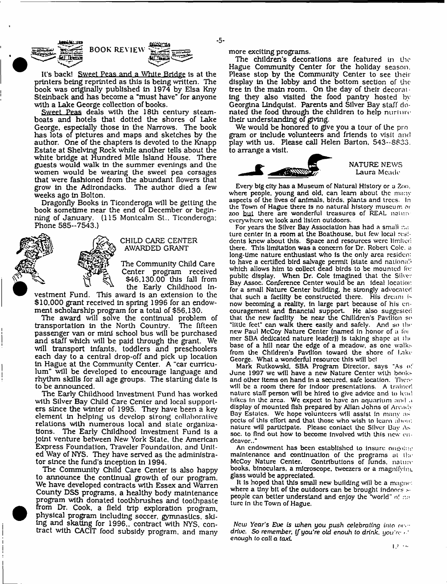**-5-**

It's back! Sweet Peas and a White Bridge is at the printers being reprinted as this Is being written. The book was originally published In 1974 by Elsa Kny Steinback and has become a "must have" for anyone with a Lake George collection of books.

BOOK REVIEW

Sweet Peas deals with the 18th century steamboats and hotels that dotted the shores of Lake George, especially those in the Narrows. The book has lots of pictures and maps and sketches by the author. One of the chapters is devoted to the Knapp Estate at Shelving Rock while another tells about the white bridge at Hundred Mile Island House. There guests would walk In the summer evenings and the women would be wearing the sweet pea corsages that were fashioned from the abundant flowers that grow in the Adirondacks. The author died a few weeks ago in Bolton.

Dragonfly Books In Ticonderoga will be getting the book sometime near the end of December or beginning of January. (115 Montcalm St.. Ticonderoga; Phone 585-7543.)



**I**

#### CHILD CARE CENTER AWARDED GRANT

The Community Child Care Center program received \$46,130.00 this fall from the Early Childhood In-

vestment Fund. This award is an extension to the \$10,000 grant received in spring 1996 for an endowment scholarship program for a total of \$56,130.

The award will solve the continual problem of transportation in the North Country. The fifteen passenger van or mini school bus will be purchased and staff which will be paid through the grant. We will transport infants, toddlers and preschoolers each day to a central drop-off and pick up location in Hague at the Community Center. A "car curriculum" will be developed to encourage language and rhythm skills for all age groups. The starting date is to be announced.

The Early Childhood Investment Fund has worked with Silver Bay Child Care Center and local supporters since the winter of 1995. They have been a key element in helping us develop strong collaborative relations with numerous local and state organizations. The Early Childhood Investment Fund is a Joint venture between New York State, the American Express Foundation, Traveler Foundation, and United Way of NYS. They have served as the administrator since the fund's inception in 1994.

The Community Child Care Center is also happy to announce the continual growth of our program. We have developed contracts with Essex and Warren County DSS programs, a healthy body maintenance program with donated toothbrushes and toothpaste from Dr. Cook, a field trip exploration program, physical program including soccer, gymnastics, skiing and skating for 1996.. contract with NYS. contract with CACIT food subsidy program, and many more exciting programs.

The children's decorations are featured in the Hague Community Center for the holiday season. Please stop by the Community Center to see their display in the lobby and the bottom section of the tree in the main room. On the day of their decorate ing they also visited the food pantry hosted by Georgina Lindquist. Parents and Silver Bay staff donated the food through the children to help nurture their understanding of giving.

We would be honored to give you a tour of the program or include volunteers and friends to visit and play with us. Please call Helen Barton, 543-8833. to arrange a visit.



**NATURE NEWS** Laura Meade

**Every big city has a Museum of Natural History or a** *7m***n. where people, young and old, can leam about the** many **aspects of the lives of animals, birds, plants and trees.** In **the Town of Hague there Is no natural history museum or zoo but there are wonderful treasures of REAL naiun everywhere we look and listen outdoors.**

**For years the Silver Bay Association has had a smali turc center in a room at the Boathouse, but few local residents knew about this. Space and resources were limited there. This limitation was a concern for Dr. Robert Cole, a long-time nature enthusiast who is the only area resident** to have a certified bird salvage permit (state and national) **which allows him to collect dead birds to be mounted for public display. When Dr. Cole imagined that the Silver Bay Assoc. Conference Center would be an Ideal location for a small Nature Center building, he strongly advocated that such a facility be constructed there. His dream i» now becoming a reality, in large part because of his encouragement and financial support. He also suggested that the new facility be near the Chilldren's Pavilion so "little feet" can walk there easily and safely. And so the new Paul McCoy Nature Center (named in honor of a !oi mer SBA dedicated nature leader)) is taking shape at the base of a hill near the edge of a meadow, as one walks from the Children's Pavilion toward the shore of Like George. What a wonderful resource this will be!**

**Mark RutkowskI, SBA Program Director, says "As o! June 1997 we will have a new Nature Center with bonks and other items on hand in a secured, safe location. Then' will be a room there for Indoor presentations. A trained nature staff person will be hired to give advice and to lead hikes in the area. We expect to have an aquarium and a display of mounted fish prepared by Allan Johns of Aready Bay Estates. Wc hope volunteers will assist In many** as **peels of this effort and that those who wish to leam alum:** nature will participate. Please contact the Silver Bay As **soc. to find out how to become Involved with this new endeavor.."**

**An endowment has been established to insure ongniui' maintenance and continuation of the programs at the McCoy Nature Center. Contributions of funds, nature books, binoculars, a microscope, tweezers or a magnifyim. glass would be appreciated.**

**It is hoped that this small new building will be a mngne: where a tiny bit of the outdoors can be brought indoors** s**people can better understand and enjoy the "world" n! turc in the Town of Hague.**

*New Year's Eve is when you push celebrating into or.drive. So remember, if you're old enouh to drink, you're enough to* **call a taxt**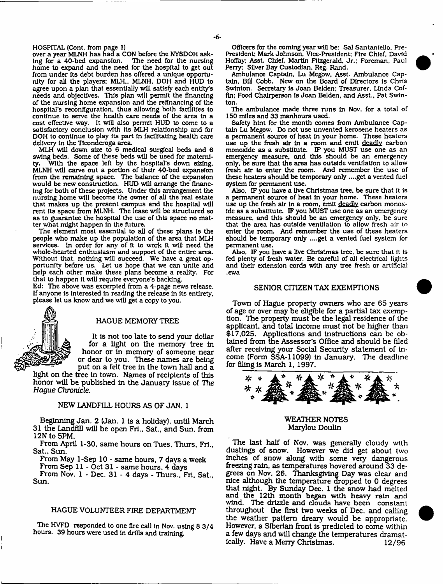HOSPITAL (Cont. from page 1)

over a year MLNH has had a CON before the NYSDOH asking for a 40-bed expansion. home to expand and the need for the hospital to get out from under Its debt burden has offered a unique opportunity for all the players: MLH,, MLNH, DOH and HUD to agree upon a plan that essentially will satisfy each entity's needs and objectives. This plan will permit the financing of the nursing home expansion and the refinancing of the hospital's reconfiguration, thus allowing both facilities to continue to serve the health care needs of the area In a cost effective way. It will also permit HUD to come to a satisfactory conclusion with its MLH relationship and for DOH to continue to play Its part In facilitating health care delivery In the Ticonderoga area.

MLH will down size to 6 medical surgical beds and 6 swing beds. Some of these beds will be used for materni-With the space left by the hospital's down sizing, MLNH will carve out a portion of their 40-bed expansion from the remaining space. The balance of the expansion would be new construction. HUD will arrange the financing for both of these projects. Under this arrangement the nursing home will become the owner of all the real estate that makes up the present campus and the hospital will rent Its space from MLNH. The lease will be structured so as to guarantee the hospital the use of this space no matter what might happen In the future.

The element most essential to all of these plans Is the people who make up the population of the area that MLH services. In order for any of it to work It will need the whole-hearted enthusiasm and support of the entire area. Without that, nothing will succeed. We have a great opportunity before us. Let us hope that we can unite and help each other make these plans become a reality. For that to happen It will require everyone's backing.

Ed: The above was excerpted from a 4-page news release. If anyone Is interested In reading the release In Its entirety, please let us know and we will get a copy to you.



#### HAGUE MEMORY TREE

It Is not too late to send your dollar for a light on the memory tree In honor or in memory of someone near or dear to you. These names are being put on a felt tree in the town hall and a

light on the tree In town. Names of recipients of this honor will be published in the January issue of The *Hague Chronicle.*

#### NEW LANDFILL HOURS AS OF JAN. 1

Beginning Jan. 2 (Jan. 1 is a holiday), until March 31 the Landfill will be open Fri., Sat., and Sun. from 12N to 5PM.

From April 1-30, same hours on Tues, Thurs, Fri., Sat., Sun.

From May 1-Sep 10 - same hours, 7 days a week

From Sep 11 - Oct 31 - same hours, 4 days

From Nov. 1 - Dec. 31-4 days - Thurs., Fti. Sat., Sun.

#### HAGUE VOLUNTEER FIRE DEPARTMENT

The HVFD responded to one fire call In Nov. using 8 3/4 hours. 39 hours were used In drills and training.

Officers for the coming year will be: Sal Santaniello, Pre-President; Mark Johnson. Vice-President; Fire Chief, David Hoffay; Asst. Chief, Martin Fitzgerald, Jr.; Foreman. Paul Perry; Silver Bay Custodian, Reg. Rand.

Ambulance Captain, Lu Megow, Asst. Ambulance Captain. Bill Cobb. New on the Board of Directors Is Chris Swlnton. Secretary Is Joan Belden; Treasurer, Linda Coffin; Food Chairperson Is Joan Belden, and Asst., Pat Swlnton.

The ambulance made three runs In Nov. for a total of 150 miles and 33 manhours used.

Safety hint for the month comes from Ambulance Captain Lu Megow. Do not use unvented kerosene heaters as a permanent source of heat In your home. These heaters use up the fresh air in a room and emit deadly carbon monoxide as a substitute. IF you MUST use one as an emergency measure, and this should be an emergency only, be sure that the area has outside ventilation to allow fresh air to enter the room. And remember the use of these heaters should be temporary only ....get a vented fuel system for permanent use.

Also. IF you have a live Christmas tree, be sure that it is a permanent source of heat In your home. These heaters use up the fresh air in a room, emit deadly carbon monoxide as a substitute. IF you MUST use one as an emergency measure, and this should be an emergency only, be sure that the area has outside ventilation to allow fresh air to enter the room. And remember the use of these heaters should be temporary only ....get a vented fuel system for permanent use.

Also, IF you have a live Christmas tree, be sure that it is fed plenty of fresh water. Be careful of all electrical lights and their extension cords with any tree fresh or artificial .ewa

#### SENIOR CITIZEN TAX EXEMPTIONS

Town of Hague property owners who are 65 years of age or over may be eligible for a partial tax exemption, The property m ust be the legal residence of the applicant, and total income must not be higher than \$17,025. Applications and Instructions can be obtained from the Assessor's Office and should be filed after receiving your Social Security statement of income (Form SSA-11099) in January. The deadline for filing is March 1, 1997.



#### WEATHER NOTES Marylou Doulin

The last half of Nov. was generally cloudy with dustings of snow. However we did get about two inches of snow along with some very dangerous freezing rain, as temperatures hovered around 33 degrees on Nov. 26. Thanksgiving Day was clear and nice although the temperature dropped to 0 degrees that night. By Sunday Dec. 1 the snow had melted and the 12th month began with heavy rain and wind. The drizzle and clouds have been constant throughout the first two weeks of Dec. and calling the weather pattern dreary would be appropriate. However, a Siberian front is predicted to come within a few days and will change the temperatures dramatically. Have a Merry Christinas. 12/96

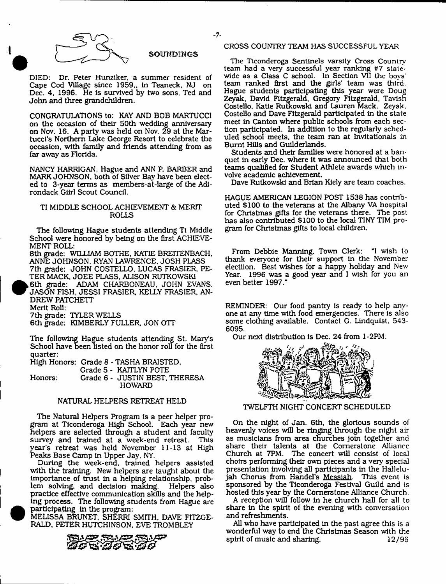

#### SOUNDINGS

DIED: Dr. Peter Hunziker. a summer resident of Cape Cod Village since 1959,, In Teaneck, NJ on Dec. 4, 1996. He is survived by two sons. Ted and John and three grandchildren.

CONGRATULATIONS to: KAY AND BOB MARTUCCI on the occasion of their 50th wedding anniversary on Nov. 16. A party was held on Nov. 29 at the Martuccl's Northern Lake George Resort to celebrate the occasion, with family and friends attending from as far away as Florida.

NANCY HARRIGAN, Hague and ANN P. BARBER and MARK JOHNSON, both of Silver Bay have been elected to 3-year terms as members-at-large of the Adirondack Gllrl Scout Council.

#### TI MIDDLE SCHOOL ACHIEVEMENT & MERIT ROLLS

The following Hague students attending Ti Middle School were honored by being on the first ACHIEVE-MENT ROLL:

8th grade: WILLIAM BOTHE, KATIE BREITENBACH, ANNE JOHNSON. RYAN LAWRENCE, JOSH PLASS 7th grade: JOHN COSTELLO, LUCAS FRASIER, PE-TER MACK, JOEE PLASS, ALISON RUTKOWSK1

,6th grade: ADAM CHARBONEAU. JOHN EVANS. JASON FISH, JESSI FRASIER, KELLY FRASIER, AN-DREW PATCHETT

Merit Roll: 7th grade: TYLER WELLS

6th grade: KIMBERLY FULLER, JON OTT

The following Hague students attending St. Mary's School have been listed on the honor roll for the first quarter:

High Honors: Grade 8 - TASHA BRAISTED,

Grade 5 - KAITLYN POTE Honors: Grade 6 - JUSTIN BEST, THERESA

## NATURAL HELPERS RETREAT HELD

**HOWARD** 

The Natural Helpers Program is a peer helper program at Ticonderoga High School. Each year new helpers are selected through a student and faculty survey and trained at a week-end retreat. This year's retreat was held November 11-13 at High Peaks Base Camp in Upper Jay, NY.

During the week-end, trained helpers assisted with the training. New helpers are taught about the importance of trust In a helping relationship, problem solving, and decision making. practice effective communication skills and the helping process. The following students from Hague are participating in the program:

MELISSA BRUNET, SHERRI SMITH. DAVE FITZGE-RALD, PETER HUTCHINSON, EVE TROMBLEY



#### CROSS COUNTRY TEAM HAS SUCCESSFUL YEAR

The Ticonderoga Sentinels varsity Cross Country team had a very successful year ranking #7 statewide as a Class C school. In Section VII the boys' team ranked first and the girls' team was third. Hague students participating this year were Doug Zeyak, David Fitzgerald, Gregory Fitzgerald, Tavish Costello, Katie Rutkowski and Lauren Mack. Zeyak. Costello and Dave Fitzgerald participated in the state meet in Canton where public schools from each section participated. In addtiion to the regularly scheduled school meets, the team ran at Invitationals in Burnt Hills and Guilderlands.

Students and their families were honored at a banquet in early Dec. where it was announced that both teams qualified for Student Athlete awards which involve academic achievement.

Dave Rutkowski and Brian Kiely are team coaches.

HAGUE AMERICAN LEGION POST 1538 has contributed \$100 to the veterans at the Albany VA hospital for Christmas gifts for the veterans there. The post has also contributed \$100 to the local TINY TIM program for Christmas gifts to local children.

From Debbie Manning, Town Clerk: "I wish to thank everyone for their support in the November electiion. Best wishes for a happy holiday and New Year. 1996 was a good year and I wish for you an even better 1997."

REMINDER: Our food pantry is ready to help anyone at any time with food emergencies. There is also some clothing available. Contact G. Lindquist, 543- 6095.

Our next distribution is Dec. 24 from 1-2PM.



TWELFTH NIGHT CONCERT SCHEDULED

On the night of Jan. 6th, the glorious sounds of heavenly voices will be ringing through the night air as musicians from area churches Join together and share their talents at the Cornerstone Alliance Church at 7PM. The concert will consist of local choirs performing their own pieces and a very special presentation involving all participants in the Hallelujah Chorus from Handel's Messiah. This event is sponsored by the Ticonderoga Festival Guild and is hosted this year by the Cornerstone Alliance Church.

A reception will follow in he church hall for all to share in the spirit of the evening with conversation and refreshments.

All who have participated in the past agree this is a wonderful way to end the Christmas Season with the spirit of music and sharing. 12/96